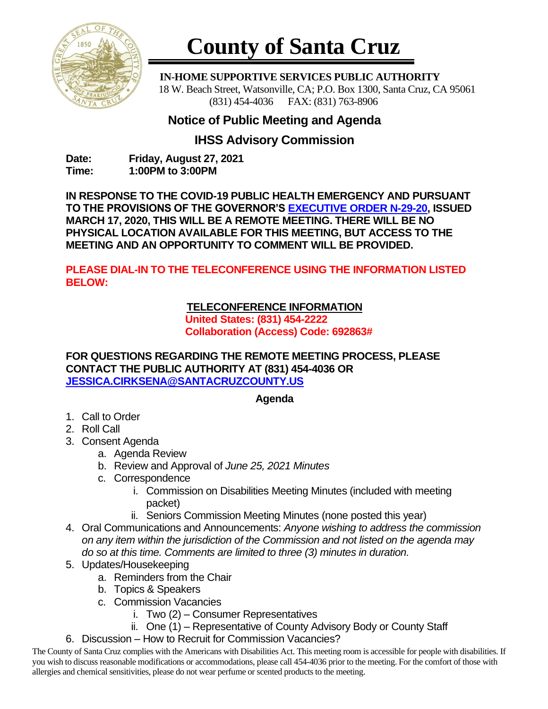

# **County of Santa Cruz**

 **IN-HOME SUPPORTIVE SERVICES PUBLIC AUTHORITY** 18 W. Beach Street, Watsonville, CA; P.O. Box 1300, Santa Cruz, CA 95061 (831) 454-4036 FAX: (831) 763-8906

## **Notice of Public Meeting and Agenda**

## **IHSS Advisory Commission**

**Date: Friday, August 27, 2021 Time: 1:00PM to 3:00PM**

**IN RESPONSE TO THE COVID-19 PUBLIC HEALTH EMERGENCY AND PURSUANT TO THE PROVISIONS OF THE GOVERNOR'S [EXECUTIVE ORDER N-29-20,](https://www.gov.ca.gov/wp-content/uploads/2020/03/3.17.20-N-29-20-EO.pdf) ISSUED MARCH 17, 2020, THIS WILL BE A REMOTE MEETING. THERE WILL BE NO PHYSICAL LOCATION AVAILABLE FOR THIS MEETING, BUT ACCESS TO THE MEETING AND AN OPPORTUNITY TO COMMENT WILL BE PROVIDED.**

**PLEASE DIAL-IN TO THE TELECONFERENCE USING THE INFORMATION LISTED BELOW:**

### **TELECONFERENCE INFORMATION**

**United States: (831) 454-2222 Collaboration (Access) Code: 692863#**

**FOR QUESTIONS REGARDING THE REMOTE MEETING PROCESS, PLEASE CONTACT THE PUBLIC AUTHORITY AT (831) 454-4036 OR [JESSICA.CIRKSENA@SANTACRUZCOUNTY.US](mailto:JESSICA.CIRKSENA@SANTACRUZCOUNTY.US)**

#### **Agenda**

- 1. Call to Order
- 2. Roll Call
- 3. Consent Agenda
	- a. Agenda Review
	- b. Review and Approval of *June 25, 2021 Minutes*
	- c. Correspondence
		- i. Commission on Disabilities Meeting Minutes (included with meeting packet)
		- ii. Seniors Commission Meeting Minutes (none posted this year)
- 4. Oral Communications and Announcements: *Anyone wishing to address the commission on any item within the jurisdiction of the Commission and not listed on the agenda may do so at this time. Comments are limited to three (3) minutes in duration.*
- 5. Updates/Housekeeping
	- a. Reminders from the Chair
	- b. Topics & Speakers
	- c. Commission Vacancies
		- i. Two (2) Consumer Representatives
		- ii. One (1) Representative of County Advisory Body or County Staff
- 6. Discussion How to Recruit for Commission Vacancies?

The County of Santa Cruz complies with the Americans with Disabilities Act. This meeting room is accessible for people with disabilities. If you wish to discuss reasonable modifications or accommodations, please call 454-4036 prior to the meeting. For the comfort of those with allergies and chemical sensitivities, please do not wear perfume or scented products to the meeting.